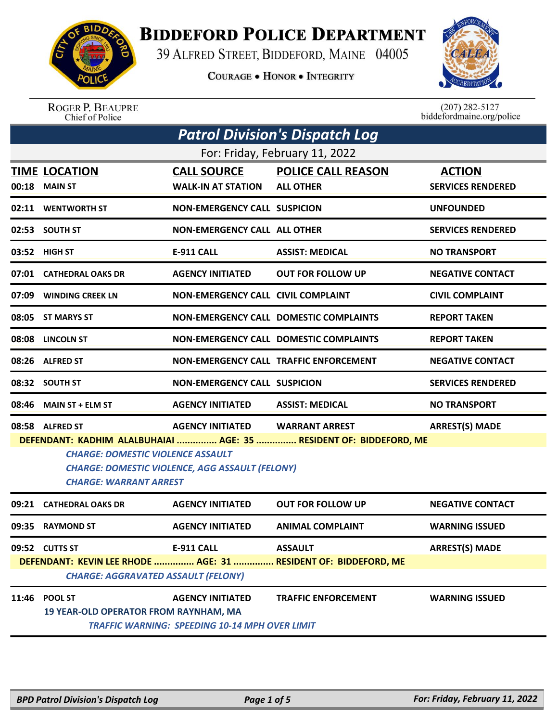

## **BIDDEFORD POLICE DEPARTMENT**

39 ALFRED STREET, BIDDEFORD, MAINE 04005

**COURAGE . HONOR . INTEGRITY** 



ROGER P. BEAUPRE<br>Chief of Police

 $(207)$  282-5127<br>biddefordmaine.org/police

|                                                                                                                                                                                                           | <b>Patrol Division's Dispatch Log</b>                          |                                                                                  |                                               |                                           |  |  |
|-----------------------------------------------------------------------------------------------------------------------------------------------------------------------------------------------------------|----------------------------------------------------------------|----------------------------------------------------------------------------------|-----------------------------------------------|-------------------------------------------|--|--|
|                                                                                                                                                                                                           |                                                                |                                                                                  | For: Friday, February 11, 2022                |                                           |  |  |
| 00:18                                                                                                                                                                                                     | <b>TIME LOCATION</b><br><b>MAIN ST</b>                         | <b>CALL SOURCE</b><br><b>WALK-IN AT STATION</b>                                  | <b>POLICE CALL REASON</b><br><b>ALL OTHER</b> | <b>ACTION</b><br><b>SERVICES RENDERED</b> |  |  |
|                                                                                                                                                                                                           | 02:11 WENTWORTH ST                                             | <b>NON-EMERGENCY CALL SUSPICION</b>                                              |                                               | <b>UNFOUNDED</b>                          |  |  |
|                                                                                                                                                                                                           | 02:53 SOUTH ST                                                 | <b>NON-EMERGENCY CALL ALL OTHER</b>                                              |                                               | <b>SERVICES RENDERED</b>                  |  |  |
|                                                                                                                                                                                                           | 03:52 HIGH ST                                                  | <b>E-911 CALL</b>                                                                | <b>ASSIST: MEDICAL</b>                        | <b>NO TRANSPORT</b>                       |  |  |
|                                                                                                                                                                                                           | 07:01 CATHEDRAL OAKS DR                                        | <b>AGENCY INITIATED</b>                                                          | <b>OUT FOR FOLLOW UP</b>                      | <b>NEGATIVE CONTACT</b>                   |  |  |
| 07:09                                                                                                                                                                                                     | <b>WINDING CREEK LN</b>                                        | <b>NON-EMERGENCY CALL CIVIL COMPLAINT</b>                                        |                                               | <b>CIVIL COMPLAINT</b>                    |  |  |
| 08:05                                                                                                                                                                                                     | ST MARYS ST                                                    |                                                                                  | <b>NON-EMERGENCY CALL DOMESTIC COMPLAINTS</b> | <b>REPORT TAKEN</b>                       |  |  |
| 08:08                                                                                                                                                                                                     | <b>LINCOLN ST</b>                                              |                                                                                  | NON-EMERGENCY CALL DOMESTIC COMPLAINTS        | <b>REPORT TAKEN</b>                       |  |  |
|                                                                                                                                                                                                           | 08:26 ALFRED ST                                                |                                                                                  | NON-EMERGENCY CALL TRAFFIC ENFORCEMENT        | <b>NEGATIVE CONTACT</b>                   |  |  |
|                                                                                                                                                                                                           | 08:32 SOUTH ST                                                 | <b>NON-EMERGENCY CALL SUSPICION</b>                                              |                                               | <b>SERVICES RENDERED</b>                  |  |  |
| 08:46                                                                                                                                                                                                     | <b>MAIN ST + ELM ST</b>                                        | <b>AGENCY INITIATED</b>                                                          | <b>ASSIST: MEDICAL</b>                        | <b>NO TRANSPORT</b>                       |  |  |
|                                                                                                                                                                                                           | 08:58 ALFRED ST                                                | <b>AGENCY INITIATED</b>                                                          | <b>WARRANT ARREST</b>                         | <b>ARREST(S) MADE</b>                     |  |  |
| DEFENDANT: KADHIM ALALBUHAIAI  AGE: 35  RESIDENT OF: BIDDEFORD, ME<br><b>CHARGE: DOMESTIC VIOLENCE ASSAULT</b><br><b>CHARGE: DOMESTIC VIOLENCE, AGG ASSAULT (FELONY)</b><br><b>CHARGE: WARRANT ARREST</b> |                                                                |                                                                                  |                                               |                                           |  |  |
|                                                                                                                                                                                                           | 09:21 CATHEDRAL OAKS DR                                        | <b>AGENCY INITIATED</b>                                                          | <b>OUT FOR FOLLOW UP</b>                      | <b>NEGATIVE CONTACT</b>                   |  |  |
| 09:35                                                                                                                                                                                                     | <b>RAYMOND ST</b>                                              | <b>AGENCY INITIATED</b>                                                          | <b>ANIMAL COMPLAINT</b>                       | <b>WARNING ISSUED</b>                     |  |  |
|                                                                                                                                                                                                           | 09:52 CUTTS ST                                                 | <b>E-911 CALL</b>                                                                | <b>ASSAULT</b>                                | <b>ARREST(S) MADE</b>                     |  |  |
| DEFENDANT: KEVIN LEE RHODE  AGE: 31  RESIDENT OF: BIDDEFORD, ME<br><b>CHARGE: AGGRAVATED ASSAULT (FELONY)</b>                                                                                             |                                                                |                                                                                  |                                               |                                           |  |  |
| 11:46                                                                                                                                                                                                     | <b>POOL ST</b><br><b>19 YEAR-OLD OPERATOR FROM RAYNHAM, MA</b> | <b>AGENCY INITIATED</b><br><b>TRAFFIC WARNING: SPEEDING 10-14 MPH OVER LIMIT</b> | <b>TRAFFIC ENFORCEMENT</b>                    | <b>WARNING ISSUED</b>                     |  |  |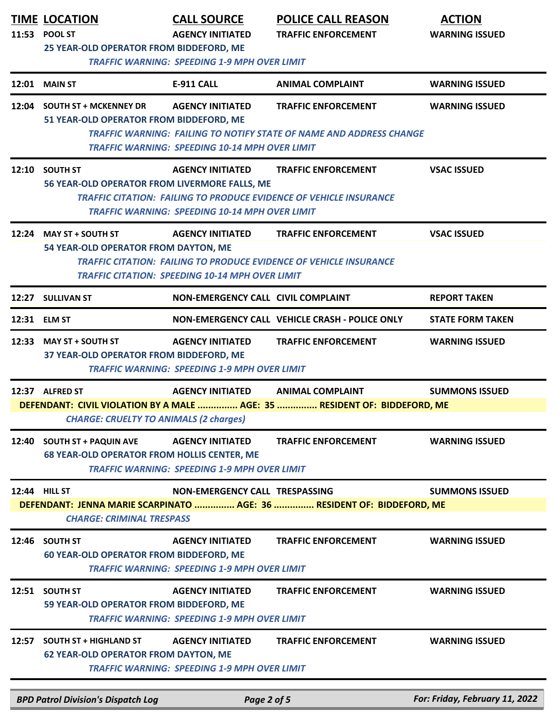| 11:53 | <b>TIME LOCATION</b><br><b>POOL ST</b><br>25 YEAR-OLD OPERATOR FROM BIDDEFORD, ME | <b>CALL SOURCE</b><br><b>AGENCY INITIATED</b><br><b>TRAFFIC WARNING: SPEEDING 1-9 MPH OVER LIMIT</b> | <b>POLICE CALL REASON</b><br><b>TRAFFIC ENFORCEMENT</b>                                                  | <b>ACTION</b><br><b>WARNING ISSUED</b> |
|-------|-----------------------------------------------------------------------------------|------------------------------------------------------------------------------------------------------|----------------------------------------------------------------------------------------------------------|----------------------------------------|
|       | <b>12:01 MAIN ST</b>                                                              | <b>E-911 CALL</b>                                                                                    | <b>ANIMAL COMPLAINT</b>                                                                                  | <b>WARNING ISSUED</b>                  |
|       | 12:04 SOUTH ST + MCKENNEY DR<br>51 YEAR-OLD OPERATOR FROM BIDDEFORD, ME           | <b>AGENCY INITIATED</b><br><b>TRAFFIC WARNING: SPEEDING 10-14 MPH OVER LIMIT</b>                     | <b>TRAFFIC ENFORCEMENT</b><br><b>TRAFFIC WARNING: FAILING TO NOTIFY STATE OF NAME AND ADDRESS CHANGE</b> | <b>WARNING ISSUED</b>                  |
|       | 12:10 SOUTH ST<br>56 YEAR-OLD OPERATOR FROM LIVERMORE FALLS, ME                   | <b>AGENCY INITIATED</b><br><b>TRAFFIC WARNING: SPEEDING 10-14 MPH OVER LIMIT</b>                     | <b>TRAFFIC ENFORCEMENT</b><br><b>TRAFFIC CITATION: FAILING TO PRODUCE EVIDENCE OF VEHICLE INSURANCE</b>  | <b>VSAC ISSUED</b>                     |
|       | 12:24 MAY ST + SOUTH ST<br>54 YEAR-OLD OPERATOR FROM DAYTON, ME                   | <b>AGENCY INITIATED</b><br><b>TRAFFIC CITATION: SPEEDING 10-14 MPH OVER LIMIT</b>                    | <b>TRAFFIC ENFORCEMENT</b><br><b>TRAFFIC CITATION: FAILING TO PRODUCE EVIDENCE OF VEHICLE INSURANCE</b>  | <b>VSAC ISSUED</b>                     |
|       | 12:27 SULLIVAN ST                                                                 | NON-EMERGENCY CALL CIVIL COMPLAINT                                                                   |                                                                                                          | <b>REPORT TAKEN</b>                    |
|       | 12:31 ELM ST                                                                      |                                                                                                      | NON-EMERGENCY CALL VEHICLE CRASH - POLICE ONLY                                                           | <b>STATE FORM TAKEN</b>                |
| 12:33 | <b>MAY ST + SOUTH ST</b><br>37 YEAR-OLD OPERATOR FROM BIDDEFORD, ME               | <b>AGENCY INITIATED</b><br><b>TRAFFIC WARNING: SPEEDING 1-9 MPH OVER LIMIT</b>                       | <b>TRAFFIC ENFORCEMENT</b>                                                                               | <b>WARNING ISSUED</b>                  |
|       | 12:37 ALFRED ST<br><b>CHARGE: CRUELTY TO ANIMALS (2 charges)</b>                  | <b>AGENCY INITIATED</b>                                                                              | <b>ANIMAL COMPLAINT</b><br>DEFENDANT: CIVIL VIOLATION BY A MALE  AGE: 35  RESIDENT OF: BIDDEFORD, ME     | <b>SUMMONS ISSUED</b>                  |
|       | 12:40 SOUTH ST + PAQUIN AVE<br><b>68 YEAR-OLD OPERATOR FROM HOLLIS CENTER, ME</b> | <b>AGENCY INITIATED</b><br><b>TRAFFIC WARNING: SPEEDING 1-9 MPH OVER LIMIT</b>                       | <b>TRAFFIC ENFORCEMENT</b>                                                                               | <b>WARNING ISSUED</b>                  |
|       | 12:44 HILL ST<br><b>CHARGE: CRIMINAL TRESPASS</b>                                 | NON-EMERGENCY CALL TRESPASSING                                                                       | DEFENDANT: JENNA MARIE SCARPINATO  AGE: 36  RESIDENT OF: BIDDEFORD, ME                                   | <b>SUMMONS ISSUED</b>                  |
|       | 12:46 SOUTH ST<br><b>60 YEAR-OLD OPERATOR FROM BIDDEFORD, ME</b>                  | <b>AGENCY INITIATED</b><br><b>TRAFFIC WARNING: SPEEDING 1-9 MPH OVER LIMIT</b>                       | <b>TRAFFIC ENFORCEMENT</b>                                                                               | <b>WARNING ISSUED</b>                  |
|       | 12:51 SOUTH ST<br>59 YEAR-OLD OPERATOR FROM BIDDEFORD, ME                         | <b>AGENCY INITIATED</b><br><b>TRAFFIC WARNING: SPEEDING 1-9 MPH OVER LIMIT</b>                       | <b>TRAFFIC ENFORCEMENT</b>                                                                               | <b>WARNING ISSUED</b>                  |
| 12:57 | <b>SOUTH ST + HIGHLAND ST</b><br><b>62 YEAR-OLD OPERATOR FROM DAYTON, ME</b>      | <b>AGENCY INITIATED</b><br><b>TRAFFIC WARNING: SPEEDING 1-9 MPH OVER LIMIT</b>                       | <b>TRAFFIC ENFORCEMENT</b>                                                                               | <b>WARNING ISSUED</b>                  |
|       | <b>BPD Patrol Division's Dispatch Log</b>                                         | Page 2 of 5                                                                                          |                                                                                                          | For: Friday, February 11, 2022         |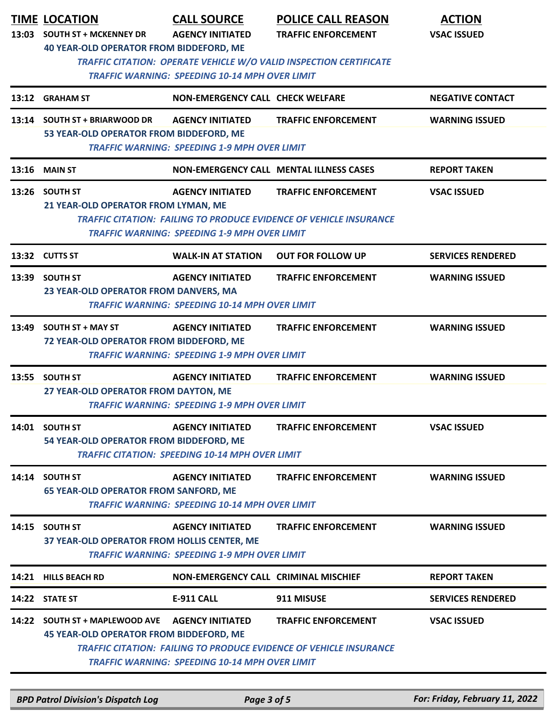| 13:03 | <b>TIME LOCATION</b><br><b>SOUTH ST + MCKENNEY DR</b><br><b>40 YEAR-OLD OPERATOR FROM BIDDEFORD, ME</b>                     | <b>CALL SOURCE</b><br><b>AGENCY INITIATED</b>                                     | <b>POLICE CALL REASON</b><br><b>TRAFFIC ENFORCEMENT</b>                                                 | <b>ACTION</b><br><b>VSAC ISSUED</b> |  |
|-------|-----------------------------------------------------------------------------------------------------------------------------|-----------------------------------------------------------------------------------|---------------------------------------------------------------------------------------------------------|-------------------------------------|--|
|       | TRAFFIC CITATION: OPERATE VEHICLE W/O VALID INSPECTION CERTIFICATE<br><b>TRAFFIC WARNING: SPEEDING 10-14 MPH OVER LIMIT</b> |                                                                                   |                                                                                                         |                                     |  |
|       | 13:12 GRAHAM ST                                                                                                             | <b>NON-EMERGENCY CALL CHECK WELFARE</b>                                           |                                                                                                         | <b>NEGATIVE CONTACT</b>             |  |
|       | 13:14 SOUTH ST + BRIARWOOD DR<br>53 YEAR-OLD OPERATOR FROM BIDDEFORD, ME                                                    | <b>AGENCY INITIATED</b><br><b>TRAFFIC WARNING: SPEEDING 1-9 MPH OVER LIMIT</b>    | <b>TRAFFIC ENFORCEMENT</b>                                                                              | <b>WARNING ISSUED</b>               |  |
|       | 13:16 MAIN ST                                                                                                               |                                                                                   | <b>NON-EMERGENCY CALL MENTAL ILLNESS CASES</b>                                                          | <b>REPORT TAKEN</b>                 |  |
|       | 13:26 SOUTH ST<br>21 YEAR-OLD OPERATOR FROM LYMAN, ME                                                                       | <b>AGENCY INITIATED</b><br><b>TRAFFIC WARNING: SPEEDING 1-9 MPH OVER LIMIT</b>    | <b>TRAFFIC ENFORCEMENT</b><br><b>TRAFFIC CITATION: FAILING TO PRODUCE EVIDENCE OF VEHICLE INSURANCE</b> | <b>VSAC ISSUED</b>                  |  |
|       | 13:32 CUTTS ST                                                                                                              | <b>WALK-IN AT STATION</b>                                                         | <b>OUT FOR FOLLOW UP</b>                                                                                | <b>SERVICES RENDERED</b>            |  |
|       | 13:39 SOUTH ST<br>23 YEAR-OLD OPERATOR FROM DANVERS, MA                                                                     | <b>AGENCY INITIATED</b><br><b>TRAFFIC WARNING: SPEEDING 10-14 MPH OVER LIMIT</b>  | <b>TRAFFIC ENFORCEMENT</b>                                                                              | <b>WARNING ISSUED</b>               |  |
|       | 13:49 SOUTH ST + MAY ST<br>72 YEAR-OLD OPERATOR FROM BIDDEFORD, ME                                                          | <b>AGENCY INITIATED</b><br><b>TRAFFIC WARNING: SPEEDING 1-9 MPH OVER LIMIT</b>    | <b>TRAFFIC ENFORCEMENT</b>                                                                              | <b>WARNING ISSUED</b>               |  |
|       | 13:55 SOUTH ST<br>27 YEAR-OLD OPERATOR FROM DAYTON, ME                                                                      | <b>AGENCY INITIATED</b><br><b>TRAFFIC WARNING: SPEEDING 1-9 MPH OVER LIMIT</b>    | <b>TRAFFIC ENFORCEMENT</b>                                                                              | <b>WARNING ISSUED</b>               |  |
| 14:01 | <b>SOUTH ST</b><br>54 YEAR-OLD OPERATOR FROM BIDDEFORD, ME                                                                  | <b>AGENCY INITIATED</b><br><b>TRAFFIC CITATION: SPEEDING 10-14 MPH OVER LIMIT</b> | <b>TRAFFIC ENFORCEMENT</b>                                                                              | <b>VSAC ISSUED</b>                  |  |
| 14:14 | <b>SOUTH ST</b><br><b>65 YEAR-OLD OPERATOR FROM SANFORD, ME</b>                                                             | <b>AGENCY INITIATED</b><br><b>TRAFFIC WARNING: SPEEDING 10-14 MPH OVER LIMIT</b>  | <b>TRAFFIC ENFORCEMENT</b>                                                                              | <b>WARNING ISSUED</b>               |  |
|       | 14:15 SOUTH ST<br>37 YEAR-OLD OPERATOR FROM HOLLIS CENTER, ME                                                               | <b>AGENCY INITIATED</b><br><b>TRAFFIC WARNING: SPEEDING 1-9 MPH OVER LIMIT</b>    | <b>TRAFFIC ENFORCEMENT</b>                                                                              | <b>WARNING ISSUED</b>               |  |
|       | 14:21 HILLS BEACH RD                                                                                                        | <b>NON-EMERGENCY CALL CRIMINAL MISCHIEF</b>                                       |                                                                                                         | <b>REPORT TAKEN</b>                 |  |
|       | 14:22 STATE ST                                                                                                              | <b>E-911 CALL</b>                                                                 | 911 MISUSE                                                                                              | <b>SERVICES RENDERED</b>            |  |
|       | 14:22 SOUTH ST + MAPLEWOOD AVE<br><b>45 YEAR-OLD OPERATOR FROM BIDDEFORD, ME</b>                                            | <b>AGENCY INITIATED</b><br><b>TRAFFIC WARNING: SPEEDING 10-14 MPH OVER LIMIT</b>  | <b>TRAFFIC ENFORCEMENT</b><br><b>TRAFFIC CITATION: FAILING TO PRODUCE EVIDENCE OF VEHICLE INSURANCE</b> | <b>VSAC ISSUED</b>                  |  |

*BPD Patrol Division's Dispatch Log Page 3 of 5 For: Friday, February 11, 2022*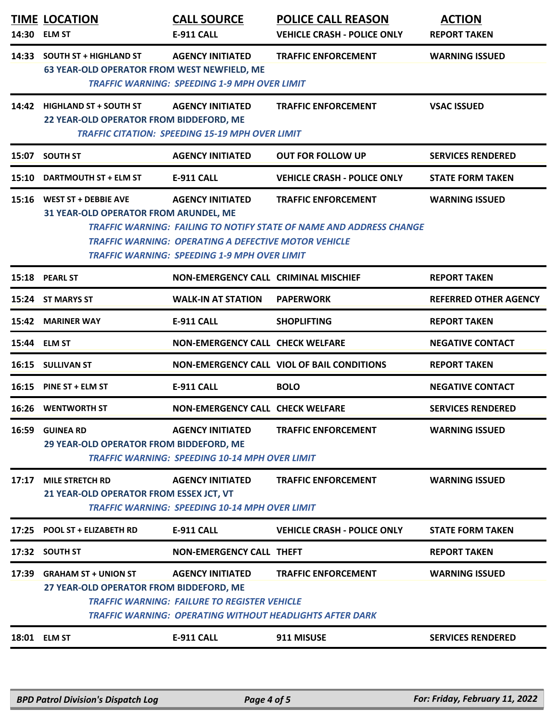| 14:33<br><b>SOUTH ST + HIGHLAND ST</b><br><b>AGENCY INITIATED</b><br><b>TRAFFIC ENFORCEMENT</b><br><b>WARNING ISSUED</b><br>63 YEAR-OLD OPERATOR FROM WEST NEWFIELD, ME<br><b>TRAFFIC WARNING: SPEEDING 1-9 MPH OVER LIMIT</b><br>14:42<br><b>HIGHLAND ST + SOUTH ST</b><br><b>AGENCY INITIATED</b><br><b>TRAFFIC ENFORCEMENT</b><br><b>VSAC ISSUED</b><br>22 YEAR-OLD OPERATOR FROM BIDDEFORD, ME<br><b>TRAFFIC CITATION: SPEEDING 15-19 MPH OVER LIMIT</b><br><b>SOUTH ST</b><br><b>AGENCY INITIATED</b><br><b>SERVICES RENDERED</b><br>15:07<br><b>OUT FOR FOLLOW UP</b><br><b>VEHICLE CRASH - POLICE ONLY</b><br>15:10<br>DARTMOUTH ST + ELM ST<br><b>E-911 CALL</b><br><b>STATE FORM TAKEN</b><br><b>WEST ST + DEBBIE AVE</b><br><b>AGENCY INITIATED</b><br><b>TRAFFIC ENFORCEMENT</b><br><b>WARNING ISSUED</b><br>15:16<br>31 YEAR-OLD OPERATOR FROM ARUNDEL, ME<br><b>TRAFFIC WARNING: FAILING TO NOTIFY STATE OF NAME AND ADDRESS CHANGE</b><br><b>TRAFFIC WARNING: OPERATING A DEFECTIVE MOTOR VEHICLE</b><br><b>TRAFFIC WARNING: SPEEDING 1-9 MPH OVER LIMIT</b><br>15:18 PEARL ST<br><b>NON-EMERGENCY CALL CRIMINAL MISCHIEF</b><br><b>REPORT TAKEN</b><br>15:24 ST MARYS ST<br><b>WALK-IN AT STATION</b><br><b>PAPERWORK</b><br><b>E-911 CALL</b><br>15:42 MARINER WAY<br><b>SHOPLIFTING</b><br><b>REPORT TAKEN</b><br><b>NON-EMERGENCY CALL CHECK WELFARE</b><br>15:44 ELM ST<br><b>NEGATIVE CONTACT</b><br><b>NON-EMERGENCY CALL VIOL OF BAIL CONDITIONS</b><br>16:15 SULLIVAN ST<br><b>REPORT TAKEN</b><br><b>E-911 CALL</b><br>16:15<br><b>BOLO</b><br><b>NEGATIVE CONTACT</b><br><b>PINE ST + ELM ST</b><br><b>NON-EMERGENCY CALL CHECK WELFARE</b><br><b>16:26 WENTWORTH ST</b><br><b>SERVICES RENDERED</b><br>16:59 GUINEA RD<br><b>AGENCY INITIATED</b><br><b>TRAFFIC ENFORCEMENT</b><br><b>WARNING ISSUED</b><br>29 YEAR-OLD OPERATOR FROM BIDDEFORD, ME<br><b>TRAFFIC WARNING: SPEEDING 10-14 MPH OVER LIMIT</b><br><b>MILE STRETCH RD</b><br>17:17<br><b>AGENCY INITIATED</b><br><b>TRAFFIC ENFORCEMENT</b><br><b>WARNING ISSUED</b><br>21 YEAR-OLD OPERATOR FROM ESSEX JCT, VT<br><b>TRAFFIC WARNING: SPEEDING 10-14 MPH OVER LIMIT</b><br>POOL ST + ELIZABETH RD<br><b>E-911 CALL</b><br><b>VEHICLE CRASH - POLICE ONLY</b><br><b>STATE FORM TAKEN</b><br>17:25<br><b>SOUTH ST</b><br><b>NON-EMERGENCY CALL THEFT</b><br><b>REPORT TAKEN</b><br>17:32<br>17:39 GRAHAM ST + UNION ST<br><b>TRAFFIC ENFORCEMENT</b><br><b>AGENCY INITIATED</b><br><b>WARNING ISSUED</b><br>27 YEAR-OLD OPERATOR FROM BIDDEFORD, ME<br><b>TRAFFIC WARNING: FAILURE TO REGISTER VEHICLE</b><br>TRAFFIC WARNING: OPERATING WITHOUT HEADLIGHTS AFTER DARK<br>E-911 CALL<br>18:01 ELM ST<br>911 MISUSE<br><b>SERVICES RENDERED</b> | 14:30 | <b>TIME LOCATION</b><br><b>ELM ST</b> | <b>CALL SOURCE</b><br>E-911 CALL | <b>POLICE CALL REASON</b><br><b>VEHICLE CRASH - POLICE ONLY</b> | <b>ACTION</b><br><b>REPORT TAKEN</b> |
|--------------------------------------------------------------------------------------------------------------------------------------------------------------------------------------------------------------------------------------------------------------------------------------------------------------------------------------------------------------------------------------------------------------------------------------------------------------------------------------------------------------------------------------------------------------------------------------------------------------------------------------------------------------------------------------------------------------------------------------------------------------------------------------------------------------------------------------------------------------------------------------------------------------------------------------------------------------------------------------------------------------------------------------------------------------------------------------------------------------------------------------------------------------------------------------------------------------------------------------------------------------------------------------------------------------------------------------------------------------------------------------------------------------------------------------------------------------------------------------------------------------------------------------------------------------------------------------------------------------------------------------------------------------------------------------------------------------------------------------------------------------------------------------------------------------------------------------------------------------------------------------------------------------------------------------------------------------------------------------------------------------------------------------------------------------------------------------------------------------------------------------------------------------------------------------------------------------------------------------------------------------------------------------------------------------------------------------------------------------------------------------------------------------------------------------------------------------------------------------------------------------------------------------------------------------------------------------------------------------------------------------------------------------------------------------------------------------------------------------|-------|---------------------------------------|----------------------------------|-----------------------------------------------------------------|--------------------------------------|
|                                                                                                                                                                                                                                                                                                                                                                                                                                                                                                                                                                                                                                                                                                                                                                                                                                                                                                                                                                                                                                                                                                                                                                                                                                                                                                                                                                                                                                                                                                                                                                                                                                                                                                                                                                                                                                                                                                                                                                                                                                                                                                                                                                                                                                                                                                                                                                                                                                                                                                                                                                                                                                                                                                                                      |       |                                       |                                  |                                                                 |                                      |
|                                                                                                                                                                                                                                                                                                                                                                                                                                                                                                                                                                                                                                                                                                                                                                                                                                                                                                                                                                                                                                                                                                                                                                                                                                                                                                                                                                                                                                                                                                                                                                                                                                                                                                                                                                                                                                                                                                                                                                                                                                                                                                                                                                                                                                                                                                                                                                                                                                                                                                                                                                                                                                                                                                                                      |       |                                       |                                  |                                                                 |                                      |
|                                                                                                                                                                                                                                                                                                                                                                                                                                                                                                                                                                                                                                                                                                                                                                                                                                                                                                                                                                                                                                                                                                                                                                                                                                                                                                                                                                                                                                                                                                                                                                                                                                                                                                                                                                                                                                                                                                                                                                                                                                                                                                                                                                                                                                                                                                                                                                                                                                                                                                                                                                                                                                                                                                                                      |       |                                       |                                  |                                                                 |                                      |
|                                                                                                                                                                                                                                                                                                                                                                                                                                                                                                                                                                                                                                                                                                                                                                                                                                                                                                                                                                                                                                                                                                                                                                                                                                                                                                                                                                                                                                                                                                                                                                                                                                                                                                                                                                                                                                                                                                                                                                                                                                                                                                                                                                                                                                                                                                                                                                                                                                                                                                                                                                                                                                                                                                                                      |       |                                       |                                  |                                                                 |                                      |
|                                                                                                                                                                                                                                                                                                                                                                                                                                                                                                                                                                                                                                                                                                                                                                                                                                                                                                                                                                                                                                                                                                                                                                                                                                                                                                                                                                                                                                                                                                                                                                                                                                                                                                                                                                                                                                                                                                                                                                                                                                                                                                                                                                                                                                                                                                                                                                                                                                                                                                                                                                                                                                                                                                                                      |       |                                       |                                  |                                                                 |                                      |
|                                                                                                                                                                                                                                                                                                                                                                                                                                                                                                                                                                                                                                                                                                                                                                                                                                                                                                                                                                                                                                                                                                                                                                                                                                                                                                                                                                                                                                                                                                                                                                                                                                                                                                                                                                                                                                                                                                                                                                                                                                                                                                                                                                                                                                                                                                                                                                                                                                                                                                                                                                                                                                                                                                                                      |       |                                       |                                  |                                                                 |                                      |
|                                                                                                                                                                                                                                                                                                                                                                                                                                                                                                                                                                                                                                                                                                                                                                                                                                                                                                                                                                                                                                                                                                                                                                                                                                                                                                                                                                                                                                                                                                                                                                                                                                                                                                                                                                                                                                                                                                                                                                                                                                                                                                                                                                                                                                                                                                                                                                                                                                                                                                                                                                                                                                                                                                                                      |       |                                       |                                  |                                                                 | <b>REFERRED OTHER AGENCY</b>         |
|                                                                                                                                                                                                                                                                                                                                                                                                                                                                                                                                                                                                                                                                                                                                                                                                                                                                                                                                                                                                                                                                                                                                                                                                                                                                                                                                                                                                                                                                                                                                                                                                                                                                                                                                                                                                                                                                                                                                                                                                                                                                                                                                                                                                                                                                                                                                                                                                                                                                                                                                                                                                                                                                                                                                      |       |                                       |                                  |                                                                 |                                      |
|                                                                                                                                                                                                                                                                                                                                                                                                                                                                                                                                                                                                                                                                                                                                                                                                                                                                                                                                                                                                                                                                                                                                                                                                                                                                                                                                                                                                                                                                                                                                                                                                                                                                                                                                                                                                                                                                                                                                                                                                                                                                                                                                                                                                                                                                                                                                                                                                                                                                                                                                                                                                                                                                                                                                      |       |                                       |                                  |                                                                 |                                      |
|                                                                                                                                                                                                                                                                                                                                                                                                                                                                                                                                                                                                                                                                                                                                                                                                                                                                                                                                                                                                                                                                                                                                                                                                                                                                                                                                                                                                                                                                                                                                                                                                                                                                                                                                                                                                                                                                                                                                                                                                                                                                                                                                                                                                                                                                                                                                                                                                                                                                                                                                                                                                                                                                                                                                      |       |                                       |                                  |                                                                 |                                      |
|                                                                                                                                                                                                                                                                                                                                                                                                                                                                                                                                                                                                                                                                                                                                                                                                                                                                                                                                                                                                                                                                                                                                                                                                                                                                                                                                                                                                                                                                                                                                                                                                                                                                                                                                                                                                                                                                                                                                                                                                                                                                                                                                                                                                                                                                                                                                                                                                                                                                                                                                                                                                                                                                                                                                      |       |                                       |                                  |                                                                 |                                      |
|                                                                                                                                                                                                                                                                                                                                                                                                                                                                                                                                                                                                                                                                                                                                                                                                                                                                                                                                                                                                                                                                                                                                                                                                                                                                                                                                                                                                                                                                                                                                                                                                                                                                                                                                                                                                                                                                                                                                                                                                                                                                                                                                                                                                                                                                                                                                                                                                                                                                                                                                                                                                                                                                                                                                      |       |                                       |                                  |                                                                 |                                      |
|                                                                                                                                                                                                                                                                                                                                                                                                                                                                                                                                                                                                                                                                                                                                                                                                                                                                                                                                                                                                                                                                                                                                                                                                                                                                                                                                                                                                                                                                                                                                                                                                                                                                                                                                                                                                                                                                                                                                                                                                                                                                                                                                                                                                                                                                                                                                                                                                                                                                                                                                                                                                                                                                                                                                      |       |                                       |                                  |                                                                 |                                      |
|                                                                                                                                                                                                                                                                                                                                                                                                                                                                                                                                                                                                                                                                                                                                                                                                                                                                                                                                                                                                                                                                                                                                                                                                                                                                                                                                                                                                                                                                                                                                                                                                                                                                                                                                                                                                                                                                                                                                                                                                                                                                                                                                                                                                                                                                                                                                                                                                                                                                                                                                                                                                                                                                                                                                      |       |                                       |                                  |                                                                 |                                      |
|                                                                                                                                                                                                                                                                                                                                                                                                                                                                                                                                                                                                                                                                                                                                                                                                                                                                                                                                                                                                                                                                                                                                                                                                                                                                                                                                                                                                                                                                                                                                                                                                                                                                                                                                                                                                                                                                                                                                                                                                                                                                                                                                                                                                                                                                                                                                                                                                                                                                                                                                                                                                                                                                                                                                      |       |                                       |                                  |                                                                 |                                      |
|                                                                                                                                                                                                                                                                                                                                                                                                                                                                                                                                                                                                                                                                                                                                                                                                                                                                                                                                                                                                                                                                                                                                                                                                                                                                                                                                                                                                                                                                                                                                                                                                                                                                                                                                                                                                                                                                                                                                                                                                                                                                                                                                                                                                                                                                                                                                                                                                                                                                                                                                                                                                                                                                                                                                      |       |                                       |                                  |                                                                 |                                      |
|                                                                                                                                                                                                                                                                                                                                                                                                                                                                                                                                                                                                                                                                                                                                                                                                                                                                                                                                                                                                                                                                                                                                                                                                                                                                                                                                                                                                                                                                                                                                                                                                                                                                                                                                                                                                                                                                                                                                                                                                                                                                                                                                                                                                                                                                                                                                                                                                                                                                                                                                                                                                                                                                                                                                      |       |                                       |                                  |                                                                 |                                      |
|                                                                                                                                                                                                                                                                                                                                                                                                                                                                                                                                                                                                                                                                                                                                                                                                                                                                                                                                                                                                                                                                                                                                                                                                                                                                                                                                                                                                                                                                                                                                                                                                                                                                                                                                                                                                                                                                                                                                                                                                                                                                                                                                                                                                                                                                                                                                                                                                                                                                                                                                                                                                                                                                                                                                      |       |                                       |                                  |                                                                 |                                      |